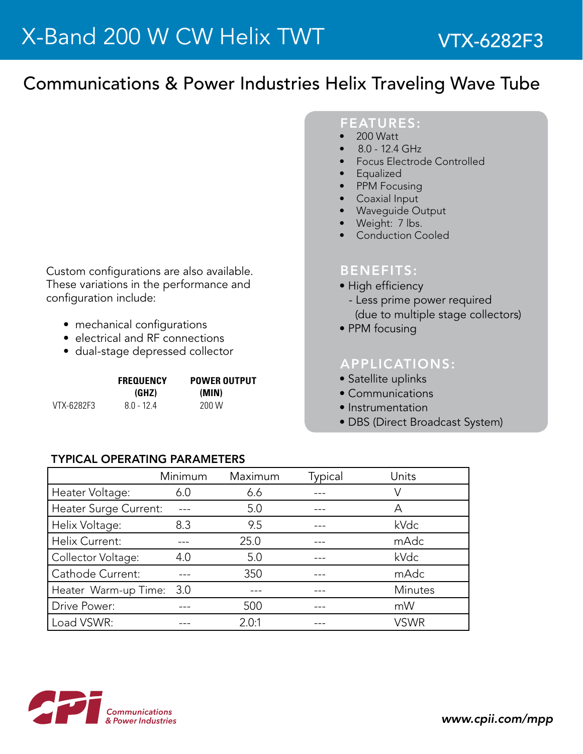# Communications & Power Industries Helix Traveling Wave Tube

FEATURES:

- 200 Watt
- 8.0 12.4 GHz
- Focus Electrode Controlled
- Equalized
- PPM Focusing
- Coaxial Input
- Wavequide Output
- Weight: 7 lbs.
- Conduction Cooled

#### BENEFITS:

- High efficiency
- Less prime power required (due to multiple stage collectors)
- PPM focusing

### APPLICATIONS:

- Satellite uplinks
- Communications
- Instrumentation
- DBS (Direct Broadcast System)

## • mechanical configurations • electrical and RF connections

Custom configurations are also available. These variations in the performance and

configuration include:

• dual-stage depressed collector

|            | <b>FREQUENCY</b> | <b>POWER OUTPUT</b> |  |
|------------|------------------|---------------------|--|
|            | (GHZ)            | (MIN)               |  |
| VTX-6282F3 | $80 - 124$       | 200 W               |  |

#### TyPICAL OPERATING PARAMETERS

|                       | Minimum | Maximum | Typical | Units          |
|-----------------------|---------|---------|---------|----------------|
| Heater Voltage:       | 6.0     | 6.6     |         | V              |
| Heater Surge Current: |         | 5.0     |         | Α              |
| Helix Voltage:        | 8.3     | 9.5     |         | kVdc           |
| Helix Current:        |         | 25.0    |         | mAdc           |
| Collector Voltage:    | 4.0     | 5.0     |         | kVdc           |
| Cathode Current:      |         | 350     |         | mAdc           |
| Heater Warm-up Time:  | 3.0     |         |         | <b>Minutes</b> |
| Drive Power:          |         | 500     |         | mW             |
| Load VSWR:            |         | 2.0:1   |         | <b>VSWR</b>    |